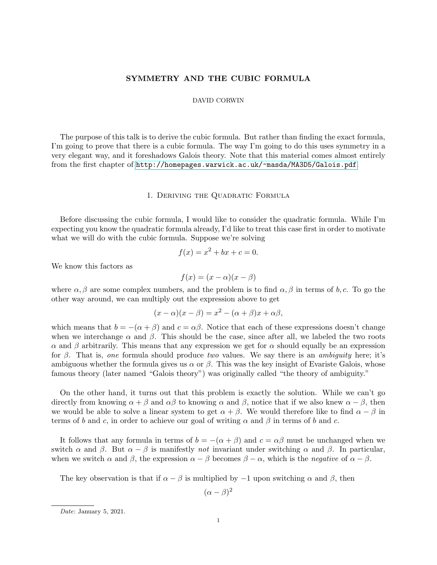# SYMMETRY AND THE CUBIC FORMULA

### DAVID CORWIN

The purpose of this talk is to derive the cubic formula. But rather than finding the exact formula, I'm going to prove that there is a cubic formula. The way I'm going to do this uses symmetry in a very elegant way, and it foreshadows Galois theory. Note that this material comes almost entirely from the first chapter of <http://homepages.warwick.ac.uk/~masda/MA3D5/Galois.pdf>.

#### 1. Deriving the Quadratic Formula

Before discussing the cubic formula, I would like to consider the quadratic formula. While I'm expecting you know the quadratic formula already, I'd like to treat this case first in order to motivate what we will do with the cubic formula. Suppose we're solving

$$
f(x) = x^2 + bx + c = 0.
$$

We know this factors as

$$
f(x) = (x - \alpha)(x - \beta)
$$

where  $\alpha, \beta$  are some complex numbers, and the problem is to find  $\alpha, \beta$  in terms of b, c. To go the other way around, we can multiply out the expression above to get

$$
(x - \alpha)(x - \beta) = x^2 - (\alpha + \beta)x + \alpha\beta,
$$

which means that  $b = -(\alpha + \beta)$  and  $c = \alpha\beta$ . Notice that each of these expressions doesn't change when we interchange  $\alpha$  and  $\beta$ . This should be the case, since after all, we labeled the two roots α and β arbitrarily. This means that any expression we get for α should equally be an expression for  $\beta$ . That is, one formula should produce two values. We say there is an ambiguity here; it's ambiguous whether the formula gives us  $\alpha$  or  $\beta$ . This was the key insight of Evariste Galois, whose famous theory (later named "Galois theory") was originally called "the theory of ambiguity."

On the other hand, it turns out that this problem is exactly the solution. While we can't go directly from knowing  $\alpha + \beta$  and  $\alpha\beta$  to knowing  $\alpha$  and  $\beta$ , notice that if we also knew  $\alpha - \beta$ , then we would be able to solve a linear system to get  $\alpha + \beta$ . We would therefore like to find  $\alpha - \beta$  in terms of b and c, in order to achieve our goal of writing  $\alpha$  and  $\beta$  in terms of b and c.

It follows that any formula in terms of  $b = -(\alpha + \beta)$  and  $c = \alpha\beta$  must be unchanged when we switch  $\alpha$  and  $\beta$ . But  $\alpha - \beta$  is manifestly not invariant under switching  $\alpha$  and  $\beta$ . In particular, when we switch  $\alpha$  and  $\beta$ , the expression  $\alpha - \beta$  becomes  $\beta - \alpha$ , which is the *negative* of  $\alpha - \beta$ .

The key observation is that if  $\alpha - \beta$  is multiplied by  $-1$  upon switching  $\alpha$  and  $\beta$ , then

 $(\alpha - \beta)^2$ 

Date: January 5, 2021.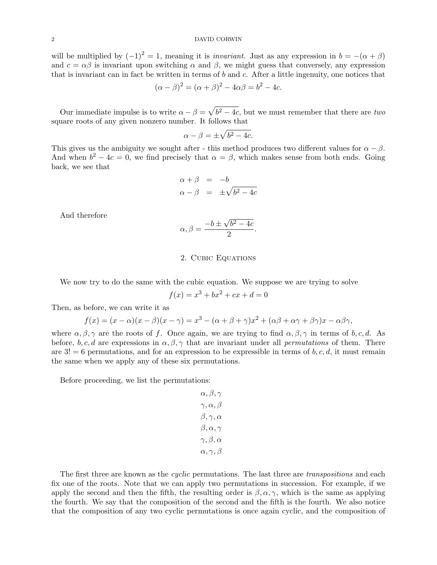will be multiplied by  $(-1)^2 = 1$ , meaning it is *invariant*. Just as any expression in  $b = -(\alpha + \beta)$ and  $c = \alpha \beta$  is invariant upon switching  $\alpha$  and  $\beta$ , we might guess that conversely, any expression that is invariant can in fact be written in terms of  $b$  and  $c$ . After a little ingenuity, one notices that

$$
(\alpha - \beta)^2 = (\alpha + \beta)^2 - 4\alpha\beta = b^2 - 4c.
$$

Our immediate impulse is to write  $\alpha - \beta = \sqrt{b^2 - 4c}$ , but we must remember that there are two square roots of any given nonzero number. It follows that

$$
\alpha - \beta = \pm \sqrt{b^2 - 4c}.
$$

This gives us the ambiguity we sought after - this method produces two different values for  $\alpha - \beta$ . And when  $b^2 - 4c = 0$ , we find precisely that  $\alpha = \beta$ , which makes sense from both ends. Going back, we see that

$$
\alpha + \beta = -b
$$
  

$$
\alpha - \beta = \pm \sqrt{b^2 - 4c}
$$

And therefore

$$
\alpha, \beta = \frac{-b \pm \sqrt{b^2 - 4c}}{2}.
$$

## 2. Cubic Equations

We now try to do the same with the cubic equation. We suppose we are trying to solve

$$
f(x) = x^3 + bx^2 + cx + d = 0
$$

Then, as before, we can write it as

$$
f(x) = (x - \alpha)(x - \beta)(x - \gamma) = x^3 - (\alpha + \beta + \gamma)x^2 + (\alpha\beta + \alpha\gamma + \beta\gamma)x - \alpha\beta\gamma,
$$

where  $\alpha, \beta, \gamma$  are the roots of f. Once again, we are trying to find  $\alpha, \beta, \gamma$  in terms of b, c, d. As before, b, c, d are expressions in  $\alpha$ ,  $\beta$ ,  $\gamma$  that are invariant under all *permutations* of them. There are  $3! = 6$  permutations, and for an expression to be expressible in terms of b, c, d, it must remain the same when we apply any of these six permutations.

Before proceeding, we list the permutations:

$$
\alpha, \beta, \gamma
$$
  

$$
\gamma, \alpha, \beta
$$
  

$$
\beta, \gamma, \alpha
$$
  

$$
\beta, \alpha, \gamma
$$
  

$$
\gamma, \beta, \alpha
$$
  

$$
\alpha, \gamma, \beta
$$

The first three are known as the *cyclic* permutations. The last three are *transpositions* and each fix one of the roots. Note that we can apply two permutations in succession. For example, if we apply the second and then the fifth, the resulting order is  $\beta$ ,  $\alpha$ ,  $\gamma$ , which is the same as applying the fourth. We say that the composition of the second and the fifth is the fourth. We also notice that the composition of any two cyclic permutations is once again cyclic, and the composition of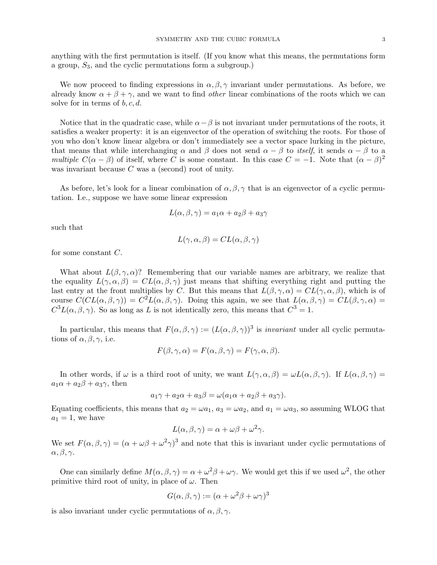anything with the first permutation is itself. (If you know what this means, the permutations form a group,  $S_3$ , and the cyclic permutations form a subgroup.)

We now proceed to finding expressions in  $\alpha, \beta, \gamma$  invariant under permutations. As before, we already know  $\alpha + \beta + \gamma$ , and we want to find *other* linear combinations of the roots which we can solve for in terms of  $b, c, d$ .

Notice that in the quadratic case, while  $\alpha-\beta$  is not invariant under permutations of the roots, it satisfies a weaker property: it is an eigenvector of the operation of switching the roots. For those of you who don't know linear algebra or don't immediately see a vector space lurking in the picture, that means that while interchanging  $\alpha$  and  $\beta$  does not send  $\alpha - \beta$  to itself, it sends  $\alpha - \beta$  to a multiple  $C(\alpha - \beta)$  of itself, where C is some constant. In this case  $C = -1$ . Note that  $(\alpha - \beta)^2$ was invariant because  $C$  was a (second) root of unity.

As before, let's look for a linear combination of  $\alpha, \beta, \gamma$  that is an eigenvector of a cyclic permutation. I.e., suppose we have some linear expression

$$
L(\alpha, \beta, \gamma) = a_1 \alpha + a_2 \beta + a_3 \gamma
$$

such that

$$
L(\gamma, \alpha, \beta) = CL(\alpha, \beta, \gamma)
$$

for some constant C.

What about  $L(\beta, \gamma, \alpha)$ ? Remembering that our variable names are arbitrary, we realize that the equality  $L(\gamma, \alpha, \beta) = CL(\alpha, \beta, \gamma)$  just means that shifting everything right and putting the last entry at the front multiplies by C. But this means that  $L(\beta, \gamma, \alpha) = CL(\gamma, \alpha, \beta)$ , which is of course  $C(Cl(\alpha, \beta, \gamma)) = C^2L(\alpha, \beta, \gamma)$ . Doing this again, we see that  $L(\alpha, \beta, \gamma) = CL(\beta, \gamma, \alpha) =$  $C^3L(\alpha,\beta,\gamma)$ . So as long as L is not identically zero, this means that  $C^3=1$ .

In particular, this means that  $F(\alpha, \beta, \gamma) := (L(\alpha, \beta, \gamma))^3$  is *invariant* under all cyclic permutations of  $\alpha, \beta, \gamma$ , i.e.

$$
F(\beta, \gamma, \alpha) = F(\alpha, \beta, \gamma) = F(\gamma, \alpha, \beta).
$$

In other words, if  $\omega$  is a third root of unity, we want  $L(\gamma, \alpha, \beta) = \omega L(\alpha, \beta, \gamma)$ . If  $L(\alpha, \beta, \gamma) =$  $a_1\alpha + a_2\beta + a_3\gamma$ , then

$$
a_1\gamma + a_2\alpha + a_3\beta = \omega(a_1\alpha + a_2\beta + a_3\gamma).
$$

Equating coefficients, this means that  $a_2 = \omega a_1$ ,  $a_3 = \omega a_2$ , and  $a_1 = \omega a_3$ , so assuming WLOG that  $a_1 = 1$ , we have

$$
L(\alpha, \beta, \gamma) = \alpha + \omega\beta + \omega^2\gamma.
$$

We set  $F(\alpha, \beta, \gamma) = (\alpha + \omega\beta + \omega^2\gamma)^3$  and note that this is invariant under cyclic permutations of  $\alpha, \beta, \gamma$ .

One can similarly define  $M(\alpha, \beta, \gamma) = \alpha + \omega^2 \beta + \omega \gamma$ . We would get this if we used  $\omega^2$ , the other primitive third root of unity, in place of  $\omega$ . Then

$$
G(\alpha, \beta, \gamma) := (\alpha + \omega^2 \beta + \omega \gamma)^3
$$

is also invariant under cyclic permutations of  $\alpha, \beta, \gamma$ .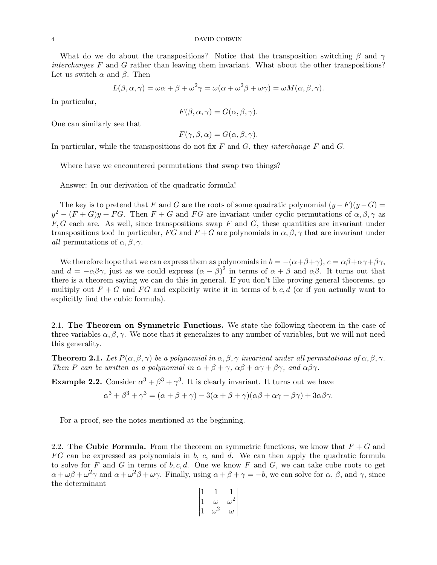What do we do about the transpositions? Notice that the transposition switching  $\beta$  and  $\gamma$ interchanges F and G rather than leaving them invariant. What about the other transpositions? Let us switch  $\alpha$  and  $\beta$ . Then

$$
L(\beta, \alpha, \gamma) = \omega \alpha + \beta + \omega^2 \gamma = \omega(\alpha + \omega^2 \beta + \omega \gamma) = \omega M(\alpha, \beta, \gamma).
$$

In particular,

$$
F(\beta, \alpha, \gamma) = G(\alpha, \beta, \gamma).
$$

One can similarly see that

$$
F(\gamma, \beta, \alpha) = G(\alpha, \beta, \gamma).
$$

In particular, while the transpositions do not fix  $F$  and  $G$ , they interchange  $F$  and  $G$ .

Where have we encountered permutations that swap two things?

Answer: In our derivation of the quadratic formula!

The key is to pretend that F and G are the roots of some quadratic polynomial  $(y-F)(y-G)$  $y^2 - (F+G)y + FG$ . Then  $F+G$  and  $FG$  are invariant under cyclic permutations of  $\alpha, \beta, \gamma$  as  $F, G$  each are. As well, since transpositions swap  $F$  and  $G$ , these quantities are invariant under transpositions too! In particular, FG and  $F+G$  are polynomials in  $\alpha, \beta, \gamma$  that are invariant under *all* permutations of  $\alpha, \beta, \gamma$ .

We therefore hope that we can express them as polynomials in  $b = -(\alpha + \beta + \gamma)$ ,  $c = \alpha\beta + \alpha\gamma + \beta\gamma$ , and  $d = -\alpha\beta\gamma$ , just as we could express  $(\alpha - \beta)^2$  in terms of  $\alpha + \beta$  and  $\alpha\beta$ . It turns out that there is a theorem saying we can do this in general. If you don't like proving general theorems, go multiply out  $F + G$  and  $FG$  and explicitly write it in terms of b, c, d (or if you actually want to explicitly find the cubic formula).

2.1. The Theorem on Symmetric Functions. We state the following theorem in the case of three variables  $\alpha, \beta, \gamma$ . We note that it generalizes to any number of variables, but we will not need this generality.

**Theorem 2.1.** Let  $P(\alpha, \beta, \gamma)$  be a polynomial in  $\alpha, \beta, \gamma$  invariant under all permutations of  $\alpha, \beta, \gamma$ . Then P can be written as a polynomial in  $\alpha + \beta + \gamma$ ,  $\alpha\beta + \alpha\gamma + \beta\gamma$ , and  $\alpha\beta\gamma$ .

**Example 2.2.** Consider  $\alpha^3 + \beta^3 + \gamma^3$ . It is clearly invariant. It turns out we have

 $\alpha^3 + \beta^3 + \gamma^3 = (\alpha + \beta + \gamma) - 3(\alpha + \beta + \gamma)(\alpha\beta + \alpha\gamma + \beta\gamma) + 3\alpha\beta\gamma.$ 

For a proof, see the notes mentioned at the beginning.

2.2. The Cubic Formula. From the theorem on symmetric functions, we know that  $F + G$  and  $FG$  can be expressed as polynomials in b, c, and d. We can then apply the quadratic formula to solve for  $F$  and  $G$  in terms of  $b, c, d$ . One we know  $F$  and  $G$ , we can take cube roots to get  $\alpha + \omega\beta + \omega^2\gamma$  and  $\alpha + \omega^2\beta + \omega\gamma$ . Finally, using  $\alpha + \beta + \gamma = -b$ , we can solve for  $\alpha$ ,  $\beta$ , and  $\gamma$ , since the determinant

$$
\begin{vmatrix} 1 & 1 & 1 \ 1 & \omega & \omega^2 \\ 1 & \omega^2 & \omega \end{vmatrix}
$$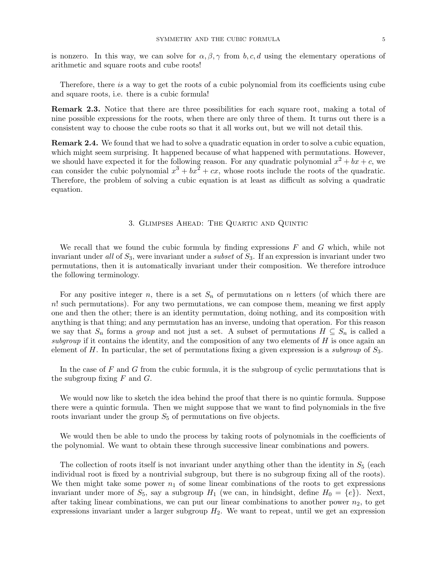is nonzero. In this way, we can solve for  $\alpha, \beta, \gamma$  from b, c, d using the elementary operations of arithmetic and square roots and cube roots!

Therefore, there is a way to get the roots of a cubic polynomial from its coefficients using cube and square roots, i.e. there is a cubic formula!

Remark 2.3. Notice that there are three possibilities for each square root, making a total of nine possible expressions for the roots, when there are only three of them. It turns out there is a consistent way to choose the cube roots so that it all works out, but we will not detail this.

Remark 2.4. We found that we had to solve a quadratic equation in order to solve a cubic equation, which might seem surprising. It happened because of what happened with permutations. However, we should have expected it for the following reason. For any quadratic polynomial  $x^2 + bx + c$ , we can consider the cubic polynomial  $x^3 + bx^2 + cx$ , whose roots include the roots of the quadratic. Therefore, the problem of solving a cubic equation is at least as difficult as solving a quadratic equation.

#### 3. Glimpses Ahead: The Quartic and Quintic

We recall that we found the cubic formula by finding expressions  $F$  and  $G$  which, while not invariant under all of  $S_3$ , were invariant under a *subset* of  $S_3$ . If an expression is invariant under two permutations, then it is automatically invariant under their composition. We therefore introduce the following terminology.

For any positive integer n, there is a set  $S_n$  of permutations on n letters (of which there are  $n!$  such permutations). For any two permutations, we can compose them, meaning we first apply one and then the other; there is an identity permutation, doing nothing, and its composition with anything is that thing; and any permutation has an inverse, undoing that operation. For this reason we say that  $S_n$  forms a group and not just a set. A subset of permutations  $H \subseteq S_n$  is called a subgroup if it contains the identity, and the composition of any two elements of  $H$  is once again an element of H. In particular, the set of permutations fixing a given expression is a *subgroup* of  $S_3$ .

In the case of  $F$  and  $G$  from the cubic formula, it is the subgroup of cyclic permutations that is the subgroup fixing  $F$  and  $G$ .

We would now like to sketch the idea behind the proof that there is no quintic formula. Suppose there were a quintic formula. Then we might suppose that we want to find polynomials in the five roots invariant under the group  $S_5$  of permutations on five objects.

We would then be able to undo the process by taking roots of polynomials in the coefficients of the polynomial. We want to obtain these through successive linear combinations and powers.

The collection of roots itself is not invariant under anything other than the identity in  $S_5$  (each individual root is fixed by a nontrivial subgroup, but there is no subgroup fixing all of the roots). We then might take some power  $n_1$  of some linear combinations of the roots to get expressions invariant under more of  $S_5$ , say a subgroup  $H_1$  (we can, in hindsight, define  $H_0 = \{e\}$ ). Next, after taking linear combinations, we can put our linear combinations to another power  $n_2$ , to get expressions invariant under a larger subgroup  $H_2$ . We want to repeat, until we get an expression